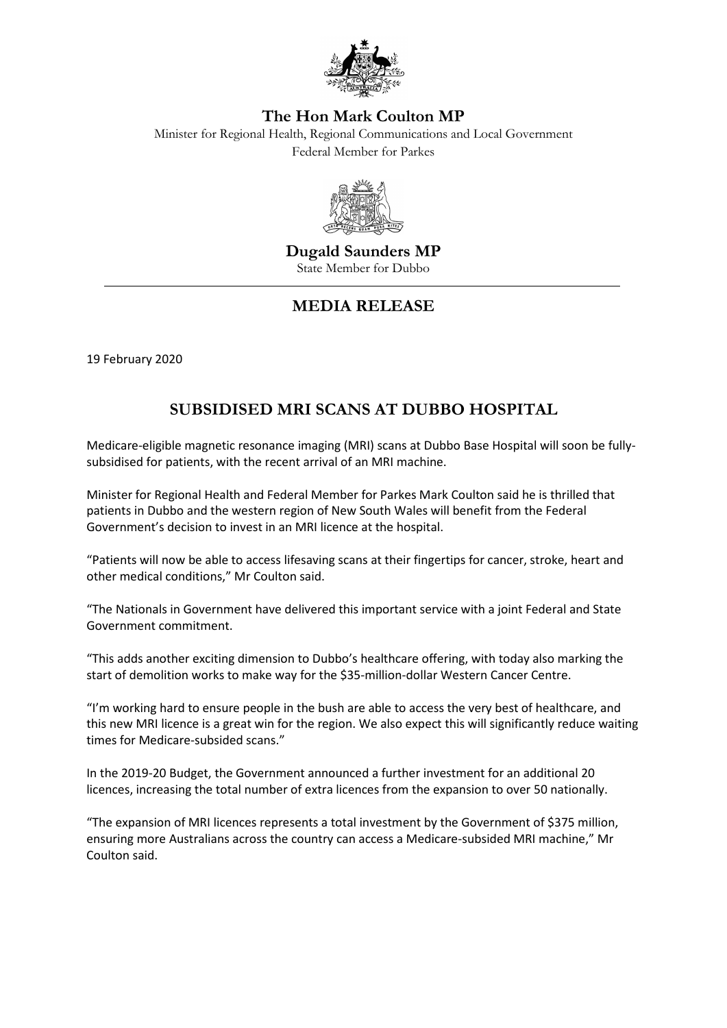

## **The Hon Mark Coulton MP**

Minister for Regional Health, Regional Communications and Local Government Federal Member for Parkes



**Dugald Saunders MP**  State Member for Dubbo

## **MEDIA RELEASE**

19 February 2020

## **SUBSIDISED MRI SCANS AT DUBBO HOSPITAL**

Medicare-eligible magnetic resonance imaging (MRI) scans at Dubbo Base Hospital will soon be fullysubsidised for patients, with the recent arrival of an MRI machine.

Minister for Regional Health and Federal Member for Parkes Mark Coulton said he is thrilled that patients in Dubbo and the western region of New South Wales will benefit from the Federal Government's decision to invest in an MRI licence at the hospital.

"Patients will now be able to access lifesaving scans at their fingertips for cancer, stroke, heart and other medical conditions," Mr Coulton said.

"The Nationals in Government have delivered this important service with a joint Federal and State Government commitment.

"This adds another exciting dimension to Dubbo's healthcare offering, with today also marking the start of demolition works to make way for the \$35-million-dollar Western Cancer Centre.

"I'm working hard to ensure people in the bush are able to access the very best of healthcare, and this new MRI licence is a great win for the region. We also expect this will significantly reduce waiting times for Medicare-subsided scans."

In the 2019-20 Budget, the Government announced a further investment for an additional 20 licences, increasing the total number of extra licences from the expansion to over 50 nationally.

"The expansion of MRI licences represents a total investment by the Government of \$375 million, ensuring more Australians across the country can access a Medicare-subsided MRI machine," Mr Coulton said.